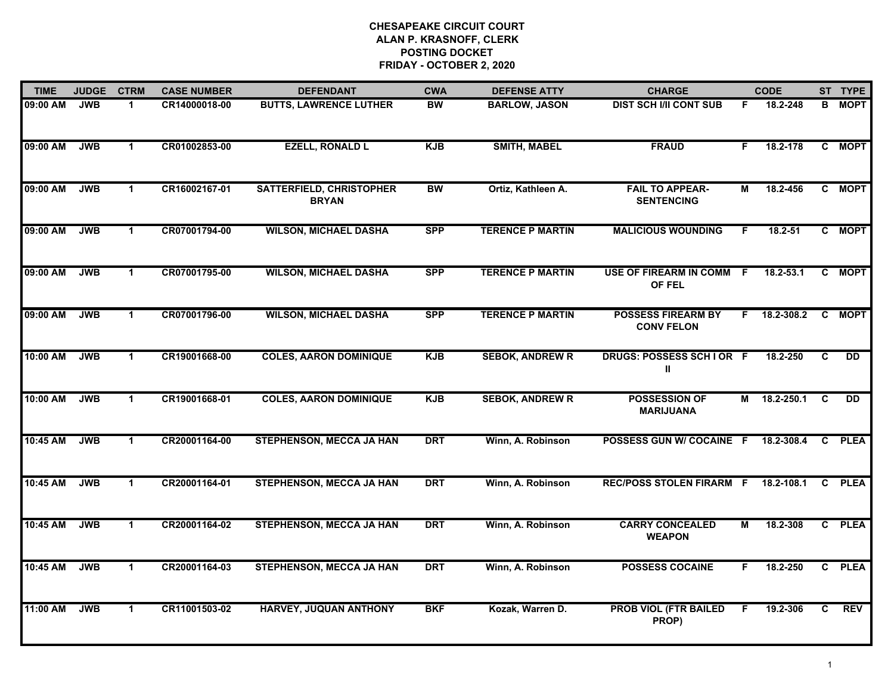| <b>TIME</b> | <b>JUDGE</b> | <b>CTRM</b>  | <b>CASE NUMBER</b> | <b>DEFENDANT</b>                                | <b>CWA</b> | <b>DEFENSE ATTY</b>     | <b>CHARGE</b>                                  |                | <b>CODE</b>   |                | ST TYPE         |
|-------------|--------------|--------------|--------------------|-------------------------------------------------|------------|-------------------------|------------------------------------------------|----------------|---------------|----------------|-----------------|
| 09:00 AM    | <b>JWB</b>   | 1.           | CR14000018-00      | <b>BUTTS, LAWRENCE LUTHER</b>                   | <b>BW</b>  | <b>BARLOW, JASON</b>    | <b>DIST SCH I/II CONT SUB</b>                  | F              | 18.2-248      | В              | <b>MOPT</b>     |
| 09:00 AM    | <b>JWB</b>   | $\mathbf 1$  | CR01002853-00      | <b>EZELL, RONALD L</b>                          | <b>KJB</b> | <b>SMITH, MABEL</b>     | <b>FRAUD</b>                                   | F.             | 18.2-178      |                | C MOPT          |
| 09:00 AM    | <b>JWB</b>   | $\mathbf 1$  | CR16002167-01      | <b>SATTERFIELD, CHRISTOPHER</b><br><b>BRYAN</b> | <b>BW</b>  | Ortiz, Kathleen A.      | <b>FAIL TO APPEAR-</b><br><b>SENTENCING</b>    | М              | 18.2-456      |                | C MOPT          |
| 09:00 AM    | <b>JWB</b>   | 1            | CR07001794-00      | <b>WILSON, MICHAEL DASHA</b>                    | <b>SPP</b> | <b>TERENCE P MARTIN</b> | <b>MALICIOUS WOUNDING</b>                      | F              | 18.2-51       |                | C MOPT          |
| 09:00 AM    | <b>JWB</b>   | $\mathbf 1$  | CR07001795-00      | <b>WILSON, MICHAEL DASHA</b>                    | <b>SPP</b> | <b>TERENCE P MARTIN</b> | USE OF FIREARM IN COMM F<br>OF FEL             |                | $18.2 - 53.1$ |                | C MOPT          |
| 09:00 AM    | <b>JWB</b>   | $\mathbf{1}$ | CR07001796-00      | <b>WILSON, MICHAEL DASHA</b>                    | <b>SPP</b> | <b>TERENCE P MARTIN</b> | <b>POSSESS FIREARM BY</b><br><b>CONV FELON</b> | F              | 18.2-308.2    | C              | <b>MOPT</b>     |
| 10:00 AM    | <b>JWB</b>   | $\mathbf 1$  | CR19001668-00      | <b>COLES, AARON DOMINIQUE</b>                   | <b>KJB</b> | <b>SEBOK, ANDREW R</b>  | DRUGS: POSSESS SCHIOR F<br>Ш                   |                | 18.2-250      | $\overline{c}$ | $\overline{DD}$ |
| 10:00 AM    | <b>JWB</b>   | $\mathbf 1$  | CR19001668-01      | <b>COLES, AARON DOMINIQUE</b>                   | <b>KJB</b> | <b>SEBOK, ANDREW R</b>  | POSSESSION OF<br><b>MARIJUANA</b>              | M              | 18.2-250.1    | C              | <b>DD</b>       |
| 10:45 AM    | <b>JWB</b>   | $\mathbf 1$  | CR20001164-00      | <b>STEPHENSON, MECCA JA HAN</b>                 | <b>DRT</b> | Winn, A. Robinson       | POSSESS GUN W/ COCAINE F                       |                | 18.2-308.4    | C              | <b>PLEA</b>     |
| 10:45 AM    | <b>JWB</b>   | $\mathbf 1$  | CR20001164-01      | STEPHENSON, MECCA JA HAN                        | <b>DRT</b> | Winn, A. Robinson       | <b>REC/POSS STOLEN FIRARM F</b>                |                | 18.2-108.1    | C.             | <b>PLEA</b>     |
| 10:45 AM    | <b>JWB</b>   | $\mathbf 1$  | CR20001164-02      | <b>STEPHENSON, MECCA JA HAN</b>                 | <b>DRT</b> | Winn, A. Robinson       | <b>CARRY CONCEALED</b><br><b>WEAPON</b>        | $\overline{M}$ | 18.2-308      | $\overline{c}$ | <b>PLEA</b>     |
| 10:45 AM    | <b>JWB</b>   | $\mathbf 1$  | CR20001164-03      | <b>STEPHENSON, MECCA JA HAN</b>                 | <b>DRT</b> | Winn, A. Robinson       | <b>POSSESS COCAINE</b>                         | F.             | 18.2-250      |                | C PLEA          |
| 11:00 AM    | <b>JWB</b>   | $\mathbf 1$  | CR11001503-02      | <b>HARVEY, JUQUAN ANTHONY</b>                   | <b>BKF</b> | Kozak, Warren D.        | <b>PROB VIOL (FTR BAILED</b><br>PROP)          | F              | 19.2-306      | C              | <b>REV</b>      |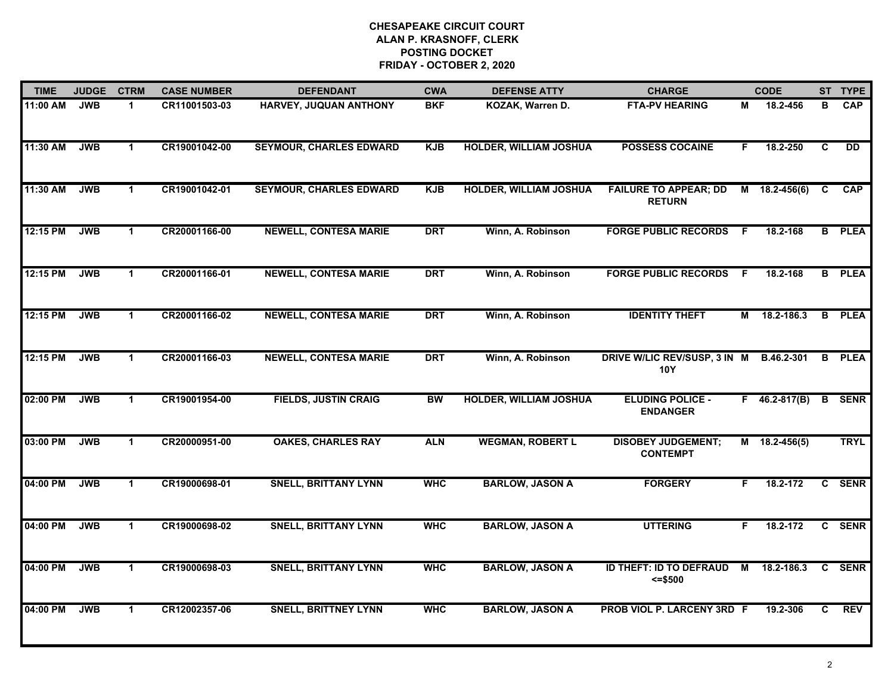| <b>TIME</b> | <b>JUDGE</b> | <b>CTRM</b>          | <b>CASE NUMBER</b> | <b>DEFENDANT</b>               | <b>CWA</b> | <b>DEFENSE ATTY</b>           | <b>CHARGE</b>                                 |     | <b>CODE</b>     |   | ST TYPE       |
|-------------|--------------|----------------------|--------------------|--------------------------------|------------|-------------------------------|-----------------------------------------------|-----|-----------------|---|---------------|
| 11:00 AM    | <b>JWB</b>   | $\mathbf 1$          | CR11001503-03      | HARVEY, JUQUAN ANTHONY         | <b>BKF</b> | KOZAK, Warren D.              | <b>FTA-PV HEARING</b>                         | М   | 18.2-456        | В | <b>CAP</b>    |
| 11:30 AM    | <b>JWB</b>   | $\blacktriangleleft$ | CR19001042-00      | <b>SEYMOUR, CHARLES EDWARD</b> | <b>KJB</b> | <b>HOLDER, WILLIAM JOSHUA</b> | <b>POSSESS COCAINE</b>                        | F.  | 18.2-250        | C | <b>DD</b>     |
| 11:30 AM    | <b>JWB</b>   | $\mathbf{1}$         | CR19001042-01      | <b>SEYMOUR, CHARLES EDWARD</b> | <b>KJB</b> | <b>HOLDER, WILLIAM JOSHUA</b> | <b>FAILURE TO APPEAR; DD</b><br><b>RETURN</b> | M   | $18.2 - 456(6)$ | C | <b>CAP</b>    |
| 12:15 PM    | <b>JWB</b>   | $\mathbf 1$          | CR20001166-00      | <b>NEWELL, CONTESA MARIE</b>   | <b>DRT</b> | Winn, A. Robinson             | <b>FORGE PUBLIC RECORDS</b>                   | E   | 18.2-168        |   | <b>B</b> PLEA |
| 12:15 PM    | <b>JWB</b>   | $\blacktriangleleft$ | CR20001166-01      | <b>NEWELL, CONTESA MARIE</b>   | <b>DRT</b> | Winn, A. Robinson             | <b>FORGE PUBLIC RECORDS</b>                   | - F | 18.2-168        |   | <b>B</b> PLEA |
| 12:15 PM    | <b>JWB</b>   | $\blacktriangleleft$ | CR20001166-02      | <b>NEWELL, CONTESA MARIE</b>   | <b>DRT</b> | Winn, A. Robinson             | <b>IDENTITY THEFT</b>                         |     | M 18.2-186.3    |   | <b>B</b> PLEA |
| 12:15 PM    | <b>JWB</b>   | $\blacktriangleleft$ | CR20001166-03      | <b>NEWELL, CONTESA MARIE</b>   | <b>DRT</b> | Winn, A. Robinson             | DRIVE W/LIC REV/SUSP, 3 IN M<br><b>10Y</b>    |     | B.46.2-301      |   | <b>B</b> PLEA |
| 02:00 PM    | <b>JWB</b>   | $\mathbf{1}$         | CR19001954-00      | <b>FIELDS, JUSTIN CRAIG</b>    | <b>BW</b>  | <b>HOLDER, WILLIAM JOSHUA</b> | <b>ELUDING POLICE -</b><br><b>ENDANGER</b>    |     | $F$ 46.2-817(B) |   | <b>B</b> SENR |
| 03:00 PM    | <b>JWB</b>   | $\mathbf 1$          | CR20000951-00      | <b>OAKES, CHARLES RAY</b>      | <b>ALN</b> | <b>WEGMAN, ROBERT L</b>       | <b>DISOBEY JUDGEMENT;</b><br><b>CONTEMPT</b>  |     | $M$ 18.2-456(5) |   | <b>TRYL</b>   |
| 04:00 PM    | <b>JWB</b>   | $\mathbf 1$          | CR19000698-01      | <b>SNELL, BRITTANY LYNN</b>    | <b>WHC</b> | <b>BARLOW, JASON A</b>        | <b>FORGERY</b>                                | F.  | 18.2-172        |   | C SENR        |
| 04:00 PM    | <b>JWB</b>   | $\mathbf{1}$         | CR19000698-02      | <b>SNELL, BRITTANY LYNN</b>    | <b>WHC</b> | <b>BARLOW, JASON A</b>        | <b>UTTERING</b>                               | F.  | 18.2-172        |   | C SENR        |
| 04:00 PM    | <b>JWB</b>   | $\blacktriangleleft$ | CR19000698-03      | <b>SNELL, BRITTANY LYNN</b>    | <b>WHC</b> | <b>BARLOW, JASON A</b>        | <b>ID THEFT: ID TO DEFRAUD</b><br>$= $500$    | M   | 18.2-186.3      | C | <b>SENR</b>   |
| 04:00 PM    | <b>JWB</b>   | $\mathbf{1}$         | CR12002357-06      | <b>SNELL, BRITTNEY LYNN</b>    | <b>WHC</b> | <b>BARLOW, JASON A</b>        | PROB VIOL P. LARCENY 3RD F                    |     | 19.2-306        | C | <b>REV</b>    |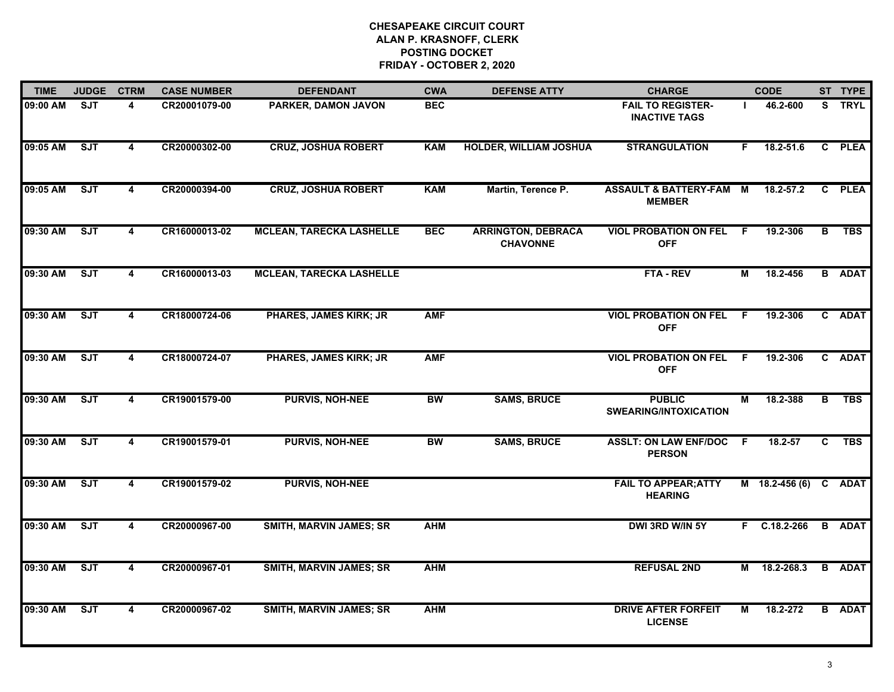| <b>TIME</b> | <b>JUDGE</b>            | <b>CTRM</b>             | <b>CASE NUMBER</b> | <b>DEFENDANT</b>                | <b>CWA</b> | <b>DEFENSE ATTY</b>                          | <b>CHARGE</b>                                    |                | <b>CODE</b>           |   | ST TYPE       |
|-------------|-------------------------|-------------------------|--------------------|---------------------------------|------------|----------------------------------------------|--------------------------------------------------|----------------|-----------------------|---|---------------|
| 09:00 AM    | $\overline{\text{SJT}}$ | 4                       | CR20001079-00      | PARKER, DAMON JAVON             | <b>BEC</b> |                                              | <b>FAIL TO REGISTER-</b><br><b>INACTIVE TAGS</b> |                | 46.2-600              |   | S TRYL        |
| 09:05 AM    | ST                      | $\overline{\mathbf{4}}$ | CR20000302-00      | <b>CRUZ, JOSHUA ROBERT</b>      | <b>KAM</b> | <b>HOLDER, WILLIAM JOSHUA</b>                | <b>STRANGULATION</b>                             | F.             | 18.2-51.6             |   | C PLEA        |
| 09:05 AM    | SJT                     | 4                       | CR20000394-00      | <b>CRUZ, JOSHUA ROBERT</b>      | <b>KAM</b> | Martin, Terence P.                           | ASSAULT & BATTERY-FAM M<br><b>MEMBER</b>         |                | 18.2-57.2             |   | C PLEA        |
| 09:30 AM    | ST                      | 4                       | CR16000013-02      | <b>MCLEAN, TARECKA LASHELLE</b> | <b>BEC</b> | <b>ARRINGTON, DEBRACA</b><br><b>CHAVONNE</b> | <b>VIOL PROBATION ON FEL F</b><br><b>OFF</b>     |                | 19.2-306              | В | <b>TBS</b>    |
| 09:30 AM    | ST                      | 4                       | CR16000013-03      | <b>MCLEAN, TARECKA LASHELLE</b> |            |                                              | FTA - REV                                        | М              | 18.2-456              |   | <b>B</b> ADAT |
| 09:30 AM    | ST                      | $\overline{\mathbf{4}}$ | CR18000724-06      | <b>PHARES, JAMES KIRK; JR</b>   | <b>AMF</b> |                                              | <b>VIOL PROBATION ON FEL</b><br><b>OFF</b>       | - F            | 19.2-306              |   | C ADAT        |
| 09:30 AM    | ST                      | $\overline{\mathbf{4}}$ | CR18000724-07      | PHARES, JAMES KIRK; JR          | <b>AMF</b> |                                              | <b>VIOL PROBATION ON FEL</b><br><b>OFF</b>       | $\overline{F}$ | 19.2-306              |   | C ADAT        |
| 09:30 AM    | ST                      | $\overline{\mathbf{4}}$ | CR19001579-00      | <b>PURVIS, NOH-NEE</b>          | <b>BW</b>  | <b>SAMS, BRUCE</b>                           | <b>PUBLIC</b><br><b>SWEARING/INTOXICATION</b>    | М              | 18.2-388              | в | <b>TBS</b>    |
| 09:30 AM    | ST                      | 4                       | CR19001579-01      | <b>PURVIS, NOH-NEE</b>          | <b>BW</b>  | <b>SAMS, BRUCE</b>                           | <b>ASSLT: ON LAW ENF/DOC</b><br><b>PERSON</b>    | -F             | $18.2 - 57$           | C | <b>TBS</b>    |
| 09:30 AM    | ST                      | $\overline{\mathbf{4}}$ | CR19001579-02      | <b>PURVIS, NOH-NEE</b>          |            |                                              | <b>FAIL TO APPEAR; ATTY</b><br><b>HEARING</b>    |                | M 18.2-456 (6) C ADAT |   |               |
| 09:30 AM    | ST                      | $\overline{\mathbf{4}}$ | CR20000967-00      | <b>SMITH, MARVIN JAMES; SR</b>  | <b>AHM</b> |                                              | DWI 3RD W/IN 5Y                                  |                | F C.18.2-266          |   | <b>B</b> ADAT |
| 09:30 AM    | ST                      | $\overline{\mathbf{4}}$ | CR20000967-01      | <b>SMITH, MARVIN JAMES; SR</b>  | <b>AHM</b> |                                              | <b>REFUSAL 2ND</b>                               |                | M 18.2-268.3          |   | <b>B</b> ADAT |
| 09:30 AM    | ST                      | $\overline{\mathbf{4}}$ | CR20000967-02      | <b>SMITH, MARVIN JAMES; SR</b>  | <b>AHM</b> |                                              | <b>DRIVE AFTER FORFEIT</b><br><b>LICENSE</b>     | М              | 18.2-272              |   | <b>B</b> ADAT |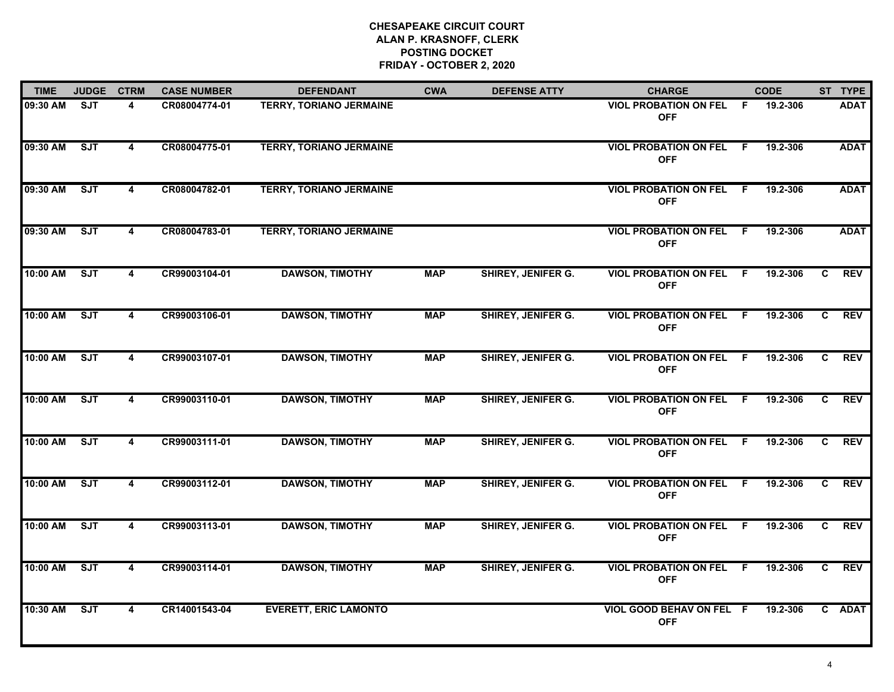| <b>TIME</b> | <b>JUDGE</b> | <b>CTRM</b>             | <b>CASE NUMBER</b> | <b>DEFENDANT</b>               | <b>CWA</b> | <b>DEFENSE ATTY</b>       | <b>CHARGE</b>                                |     | <b>CODE</b> |    | ST TYPE     |
|-------------|--------------|-------------------------|--------------------|--------------------------------|------------|---------------------------|----------------------------------------------|-----|-------------|----|-------------|
| 09:30 AM    | <b>SJT</b>   | 4                       | CR08004774-01      | <b>TERRY, TORIANO JERMAINE</b> |            |                           | <b>VIOL PROBATION ON FEL</b><br><b>OFF</b>   | - F | 19.2-306    |    | <b>ADAT</b> |
| 09:30 AM    | ST           | $\overline{4}$          | CR08004775-01      | <b>TERRY, TORIANO JERMAINE</b> |            |                           | <b>VIOL PROBATION ON FEL</b><br><b>OFF</b>   | - F | 19.2-306    |    | <b>ADAT</b> |
| 09:30 AM    | ST           | 4                       | CR08004782-01      | <b>TERRY, TORIANO JERMAINE</b> |            |                           | <b>VIOL PROBATION ON FEL F</b><br><b>OFF</b> |     | 19.2-306    |    | <b>ADAT</b> |
| 09:30 AM    | <b>SJT</b>   | 4                       | CR08004783-01      | <b>TERRY, TORIANO JERMAINE</b> |            |                           | <b>VIOL PROBATION ON FEL F</b><br><b>OFF</b> |     | 19.2-306    |    | <b>ADAT</b> |
| 10:00 AM    | <b>SJT</b>   | 4                       | CR99003104-01      | <b>DAWSON, TIMOTHY</b>         | <b>MAP</b> | SHIREY, JENIFER G.        | <b>VIOL PROBATION ON FEL</b><br><b>OFF</b>   | - F | 19.2-306    | C. | <b>REV</b>  |
| 10:00 AM    | ST           | 4                       | CR99003106-01      | <b>DAWSON, TIMOTHY</b>         | <b>MAP</b> | <b>SHIREY, JENIFER G.</b> | <b>VIOL PROBATION ON FEL</b><br><b>OFF</b>   | - F | 19.2-306    | C. | <b>REV</b>  |
| 10:00 AM    | ST           | 4                       | CR99003107-01      | <b>DAWSON, TIMOTHY</b>         | <b>MAP</b> | SHIREY, JENIFER G.        | <b>VIOL PROBATION ON FEL</b><br><b>OFF</b>   | F.  | 19.2-306    | C. | <b>REV</b>  |
| 10:00 AM    | <b>SJT</b>   | 4                       | CR99003110-01      | <b>DAWSON, TIMOTHY</b>         | <b>MAP</b> | SHIREY, JENIFER G.        | <b>VIOL PROBATION ON FEL F</b><br><b>OFF</b> |     | 19.2-306    | C. | <b>REV</b>  |
| 10:00 AM    | SJT          | 4                       | CR99003111-01      | <b>DAWSON, TIMOTHY</b>         | <b>MAP</b> | SHIREY, JENIFER G.        | <b>VIOL PROBATION ON FEL</b><br><b>OFF</b>   | -F  | 19.2-306    | C  | <b>REV</b>  |
| 10:00 AM    | ST           | 4                       | CR99003112-01      | <b>DAWSON, TIMOTHY</b>         | <b>MAP</b> | <b>SHIREY, JENIFER G.</b> | <b>VIOL PROBATION ON FEL F</b><br><b>OFF</b> |     | 19.2-306    | C  | <b>REV</b>  |
| 10:00 AM    | ST           | 4                       | CR99003113-01      | <b>DAWSON, TIMOTHY</b>         | <b>MAP</b> | <b>SHIREY, JENIFER G.</b> | <b>VIOL PROBATION ON FEL F</b><br><b>OFF</b> |     | 19.2-306    | C  | <b>REV</b>  |
| 10:00 AM    | ST           | $\overline{\mathbf{4}}$ | CR99003114-01      | <b>DAWSON, TIMOTHY</b>         | <b>MAP</b> | <b>SHIREY, JENIFER G.</b> | <b>VIOL PROBATION ON FEL</b><br><b>OFF</b>   | F.  | 19.2-306    | C  | <b>REV</b>  |
| 10:30 AM    | <b>SJT</b>   | 4                       | CR14001543-04      | <b>EVERETT, ERIC LAMONTO</b>   |            |                           | VIOL GOOD BEHAV ON FEL F<br><b>OFF</b>       |     | 19.2-306    |    | C ADAT      |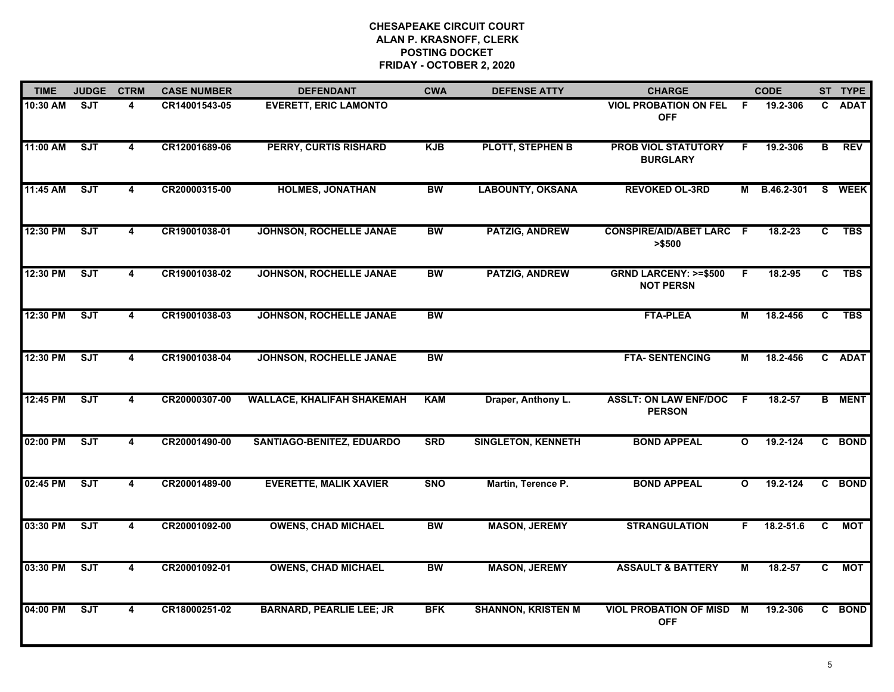| <b>TIME</b> | <b>JUDGE</b> | <b>CTRM</b>             | <b>CASE NUMBER</b> | <b>DEFENDANT</b>                  | <b>CWA</b> | <b>DEFENSE ATTY</b>       | <b>CHARGE</b>                                       |                | <b>CODE</b> |                | ST TYPE       |
|-------------|--------------|-------------------------|--------------------|-----------------------------------|------------|---------------------------|-----------------------------------------------------|----------------|-------------|----------------|---------------|
| 10:30 AM    | <b>SJT</b>   | 4                       | CR14001543-05      | <b>EVERETT, ERIC LAMONTO</b>      |            |                           | <b>VIOL PROBATION ON FEL</b><br><b>OFF</b>          | - F            | 19.2-306    |                | C ADAT        |
| 11:00 AM    | ST           | $\overline{\mathbf{4}}$ | CR12001689-06      | <b>PERRY, CURTIS RISHARD</b>      | <b>KJB</b> | PLOTT, STEPHEN B          | <b>PROB VIOL STATUTORY</b><br><b>BURGLARY</b>       | F.             | 19.2-306    | B              | <b>REV</b>    |
| 11:45 AM    | ST           | 4                       | CR20000315-00      | <b>HOLMES, JONATHAN</b>           | <b>BW</b>  | <b>LABOUNTY, OKSANA</b>   | <b>REVOKED OL-3RD</b>                               | М              | B.46.2-301  |                | S WEEK        |
| 12:30 PM    | SJT          | 4                       | CR19001038-01      | <b>JOHNSON, ROCHELLE JANAE</b>    | <b>BW</b>  | <b>PATZIG, ANDREW</b>     | <b>CONSPIRE/AID/ABET LARC F</b><br>> \$500          |                | $18.2 - 23$ | C.             | <b>TBS</b>    |
| 12:30 PM    | SJT          | 4                       | CR19001038-02      | <b>JOHNSON, ROCHELLE JANAE</b>    | <b>BW</b>  | <b>PATZIG, ANDREW</b>     | <b>GRND LARCENY: &gt;=\$500</b><br><b>NOT PERSN</b> | F.             | 18.2-95     | $\mathbf{c}$   | <b>TBS</b>    |
| 12:30 PM    | SJT          | 4                       | CR19001038-03      | JOHNSON, ROCHELLE JANAE           | <b>BW</b>  |                           | <b>FTA-PLEA</b>                                     | М              | 18.2-456    | C              | <b>TBS</b>    |
| 12:30 PM    | SJT          | $\overline{4}$          | CR19001038-04      | JOHNSON, ROCHELLE JANAE           | <b>BW</b>  |                           | <b>FTA-SENTENCING</b>                               | М              | 18.2-456    |                | C ADAT        |
| 12:45 PM    | ST           | 4                       | CR20000307-00      | <b>WALLACE, KHALIFAH SHAKEMAH</b> | <b>KAM</b> | Draper, Anthony L.        | <b>ASSLT: ON LAW ENF/DOC</b><br><b>PERSON</b>       | F.             | 18.2-57     |                | <b>B</b> MENT |
| 02:00 PM    | SJT          | 4                       | CR20001490-00      | SANTIAGO-BENITEZ, EDUARDO         | <b>SRD</b> | <b>SINGLETON, KENNETH</b> | <b>BOND APPEAL</b>                                  | $\mathbf{o}$   | 19.2-124    |                | C BOND        |
| 02:45 PM    | SJT          | $\overline{\mathbf{4}}$ | CR20001489-00      | <b>EVERETTE, MALIK XAVIER</b>     | <b>SNO</b> | Martin, Terence P.        | <b>BOND APPEAL</b>                                  | $\mathbf{o}$   | 19.2-124    |                | C BOND        |
| 03:30 PM    | ST           | 4                       | CR20001092-00      | <b>OWENS, CHAD MICHAEL</b>        | <b>BW</b>  | <b>MASON, JEREMY</b>      | <b>STRANGULATION</b>                                | F.             | 18.2-51.6   | C.             | <b>MOT</b>    |
| 03:30 PM    | ST           | $\overline{\mathbf{4}}$ | CR20001092-01      | <b>OWENS, CHAD MICHAEL</b>        | <b>BW</b>  | <b>MASON, JEREMY</b>      | <b>ASSAULT &amp; BATTERY</b>                        | $\overline{M}$ | 18.2-57     | $\overline{c}$ | <b>MOT</b>    |
| 04:00 PM    | ST           | $\overline{\mathbf{4}}$ | CR18000251-02      | <b>BARNARD, PEARLIE LEE; JR</b>   | <b>BFK</b> | <b>SHANNON, KRISTEN M</b> | <b>VIOL PROBATION OF MISD</b><br><b>OFF</b>         | M              | 19.2-306    |                | C BOND        |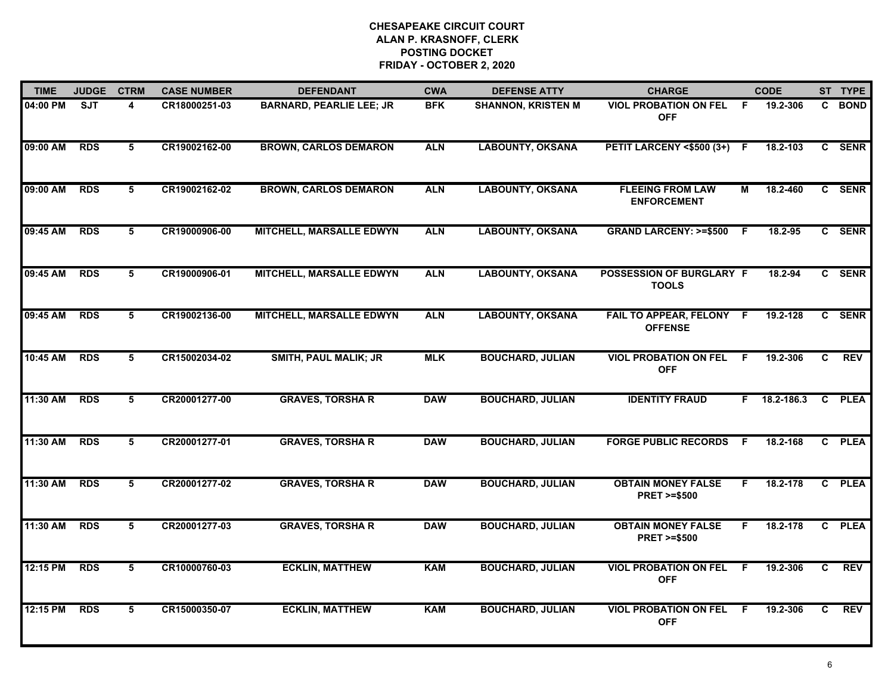| <b>TIME</b> | <b>JUDGE</b> | <b>CTRM</b>     | <b>CASE NUMBER</b> | <b>DEFENDANT</b>                | <b>CWA</b> | <b>DEFENSE ATTY</b>       | <b>CHARGE</b>                                       |                | <b>CODE</b> |                | ST TYPE     |
|-------------|--------------|-----------------|--------------------|---------------------------------|------------|---------------------------|-----------------------------------------------------|----------------|-------------|----------------|-------------|
| 04:00 PM    | <b>SJT</b>   | 4               | CR18000251-03      | <b>BARNARD, PEARLIE LEE; JR</b> | <b>BFK</b> | <b>SHANNON, KRISTEN M</b> | <b>VIOL PROBATION ON FEL</b><br><b>OFF</b>          | -F             | 19.2-306    | C.             | <b>BOND</b> |
| 09:00 AM    | <b>RDS</b>   | 5               | CR19002162-00      | <b>BROWN, CARLOS DEMARON</b>    | <b>ALN</b> | <b>LABOUNTY, OKSANA</b>   | PETIT LARCENY <\$500 (3+) F                         |                | 18.2-103    |                | C SENR      |
| 09:00 AM    | <b>RDS</b>   | 5               | CR19002162-02      | <b>BROWN, CARLOS DEMARON</b>    | <b>ALN</b> | <b>LABOUNTY, OKSANA</b>   | <b>FLEEING FROM LAW</b><br><b>ENFORCEMENT</b>       | м              | 18.2-460    |                | C SENR      |
| 09:45 AM    | <b>RDS</b>   | 5               | CR19000906-00      | <b>MITCHELL, MARSALLE EDWYN</b> | <b>ALN</b> | <b>LABOUNTY, OKSANA</b>   | <b>GRAND LARCENY: &gt;=\$500</b>                    | -F             | 18.2-95     |                | C SENR      |
| 09:45 AM    | <b>RDS</b>   | 5               | CR19000906-01      | <b>MITCHELL, MARSALLE EDWYN</b> | <b>ALN</b> | <b>LABOUNTY, OKSANA</b>   | POSSESSION OF BURGLARY F<br><b>TOOLS</b>            |                | 18.2-94     |                | C SENR      |
| 09:45 AM    | <b>RDS</b>   | 5               | CR19002136-00      | <b>MITCHELL, MARSALLE EDWYN</b> | <b>ALN</b> | <b>LABOUNTY, OKSANA</b>   | FAIL TO APPEAR, FELONY F<br><b>OFFENSE</b>          |                | 19.2-128    |                | C SENR      |
| 10:45 AM    | <b>RDS</b>   | $5\overline{5}$ | CR15002034-02      | <b>SMITH, PAUL MALIK; JR</b>    | <b>MLK</b> | <b>BOUCHARD, JULIAN</b>   | <b>VIOL PROBATION ON FEL</b><br><b>OFF</b>          | $\overline{F}$ | 19.2-306    | C              | <b>REV</b>  |
| 11:30 AM    | <b>RDS</b>   | $5\overline{5}$ | CR20001277-00      | <b>GRAVES, TORSHA R</b>         | <b>DAW</b> | <b>BOUCHARD, JULIAN</b>   | <b>IDENTITY FRAUD</b>                               | F.             | 18.2-186.3  | $\overline{c}$ | <b>PLEA</b> |
| 11:30 AM    | <b>RDS</b>   | 5               | CR20001277-01      | <b>GRAVES, TORSHA R</b>         | <b>DAW</b> | <b>BOUCHARD, JULIAN</b>   | <b>FORGE PUBLIC RECORDS</b>                         | -F             | 18.2-168    | C              | <b>PLEA</b> |
| 11:30 AM    | <b>RDS</b>   | 5               | CR20001277-02      | <b>GRAVES, TORSHA R</b>         | <b>DAW</b> | <b>BOUCHARD, JULIAN</b>   | <b>OBTAIN MONEY FALSE</b><br><b>PRET &gt;=\$500</b> | F              | 18.2-178    | $\mathbf{c}$   | <b>PLEA</b> |
| 11:30 AM    | <b>RDS</b>   | 5               | CR20001277-03      | <b>GRAVES, TORSHA R</b>         | <b>DAW</b> | <b>BOUCHARD, JULIAN</b>   | <b>OBTAIN MONEY FALSE</b><br><b>PRET &gt;=\$500</b> | F.             | 18.2-178    | C.             | <b>PLEA</b> |
| 12:15 PM    | <b>RDS</b>   | $5\overline{5}$ | CR10000760-03      | <b>ECKLIN, MATTHEW</b>          | <b>KAM</b> | <b>BOUCHARD, JULIAN</b>   | <b>VIOL PROBATION ON FEL</b><br><b>OFF</b>          | F.             | 19.2-306    | $\overline{c}$ | <b>REV</b>  |
| 12:15 PM    | <b>RDS</b>   | 5               | CR15000350-07      | <b>ECKLIN, MATTHEW</b>          | <b>KAM</b> | <b>BOUCHARD, JULIAN</b>   | <b>VIOL PROBATION ON FEL</b><br><b>OFF</b>          | -F             | 19.2-306    | C              | <b>REV</b>  |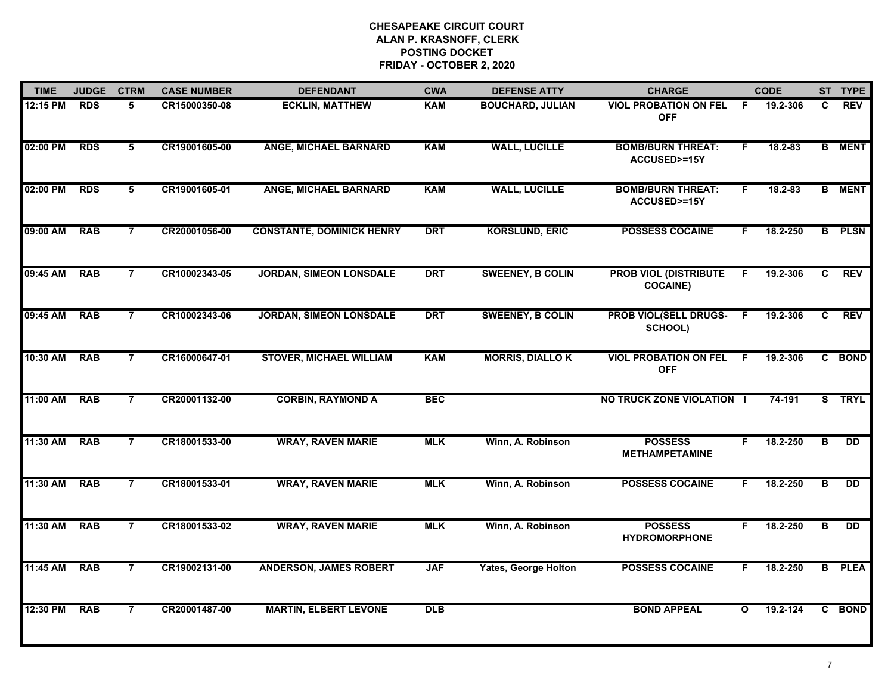| <b>TIME</b> | <b>JUDGE</b> | <b>CTRM</b>     | <b>CASE NUMBER</b> | <b>DEFENDANT</b>                 | <b>CWA</b> | <b>DEFENSE ATTY</b>         | <b>CHARGE</b>                                   |              | <b>CODE</b> |    | ST TYPE        |
|-------------|--------------|-----------------|--------------------|----------------------------------|------------|-----------------------------|-------------------------------------------------|--------------|-------------|----|----------------|
| 12:15 PM    | <b>RDS</b>   | 5               | CR15000350-08      | <b>ECKLIN, MATTHEW</b>           | <b>KAM</b> | <b>BOUCHARD, JULIAN</b>     | <b>VIOL PROBATION ON FEL</b><br><b>OFF</b>      | -F           | 19.2-306    | C. | <b>REV</b>     |
| 02:00 PM    | <b>RDS</b>   | 5               | CR19001605-00      | <b>ANGE, MICHAEL BARNARD</b>     | <b>KAM</b> | <b>WALL, LUCILLE</b>        | <b>BOMB/BURN THREAT:</b><br>ACCUSED>=15Y        | F            | $18.2 - 83$ |    | <b>B</b> MENT  |
| 02:00 PM    | <b>RDS</b>   | $5\overline{5}$ | CR19001605-01      | <b>ANGE, MICHAEL BARNARD</b>     | <b>KAM</b> | <b>WALL, LUCILLE</b>        | <b>BOMB/BURN THREAT:</b><br>ACCUSED>=15Y        | F.           | 18.2-83     |    | <b>B</b> MENT  |
| 09:00 AM    | <b>RAB</b>   | $\overline{7}$  | CR20001056-00      | <b>CONSTANTE, DOMINICK HENRY</b> | <b>DRT</b> | <b>KORSLUND, ERIC</b>       | <b>POSSESS COCAINE</b>                          | F.           | 18.2-250    |    | <b>B</b> PLSN  |
| 09:45 AM    | <b>RAB</b>   | $\overline{7}$  | CR10002343-05      | <b>JORDAN, SIMEON LONSDALE</b>   | <b>DRT</b> | <b>SWEENEY, B COLIN</b>     | <b>PROB VIOL (DISTRIBUTE</b><br><b>COCAINE)</b> | F.           | 19.2-306    | C  | <b>REV</b>     |
| 09:45 AM    | <b>RAB</b>   | $\overline{7}$  | CR10002343-06      | <b>JORDAN, SIMEON LONSDALE</b>   | <b>DRT</b> | <b>SWEENEY, B COLIN</b>     | <b>PROB VIOL(SELL DRUGS-</b><br>SCHOOL)         | F.           | 19.2-306    | C. | <b>REV</b>     |
| 10:30 AM    | <b>RAB</b>   | $\overline{7}$  | CR16000647-01      | <b>STOVER, MICHAEL WILLIAM</b>   | <b>KAM</b> | <b>MORRIS, DIALLOK</b>      | <b>VIOL PROBATION ON FEL</b><br><b>OFF</b>      | F.           | 19.2-306    |    | C BOND         |
| 11:00 AM    | <b>RAB</b>   | $\overline{7}$  | CR20001132-00      | <b>CORBIN, RAYMOND A</b>         | <b>BEC</b> |                             | NO TRUCK ZONE VIOLATION I                       |              | 74-191      |    | S TRYL         |
| 11:30 AM    | <b>RAB</b>   | $\overline{7}$  | CR18001533-00      | <b>WRAY, RAVEN MARIE</b>         | <b>MLK</b> | Winn, A. Robinson           | <b>POSSESS</b><br><b>METHAMPETAMINE</b>         | F.           | 18.2-250    | B  | <b>DD</b>      |
| 11:30 AM    | <b>RAB</b>   | $\overline{7}$  | CR18001533-01      | <b>WRAY, RAVEN MARIE</b>         | <b>MLK</b> | Winn, A. Robinson           | <b>POSSESS COCAINE</b>                          | F.           | 18.2-250    | B  | <b>DD</b>      |
| 11:30 AM    | <b>RAB</b>   | $\overline{7}$  | CR18001533-02      | <b>WRAY, RAVEN MARIE</b>         | <b>MLK</b> | Winn, A. Robinson           | <b>POSSESS</b><br><b>HYDROMORPHONE</b>          | F.           | 18.2-250    | в  | $\overline{D}$ |
| 11:45 AM    | <b>RAB</b>   | $\overline{7}$  | CR19002131-00      | <b>ANDERSON, JAMES ROBERT</b>    | <b>JAF</b> | <b>Yates, George Holton</b> | <b>POSSESS COCAINE</b>                          | F.           | 18.2-250    |    | <b>B</b> PLEA  |
| 12:30 PM    | <b>RAB</b>   | $\overline{7}$  | CR20001487-00      | <b>MARTIN, ELBERT LEVONE</b>     | DLB        |                             | <b>BOND APPEAL</b>                              | $\mathbf{o}$ | 19.2-124    |    | C BOND         |